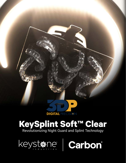

# **KeySplint Soft™ Clear** Revolutionizing Night Guard and Splint Technology